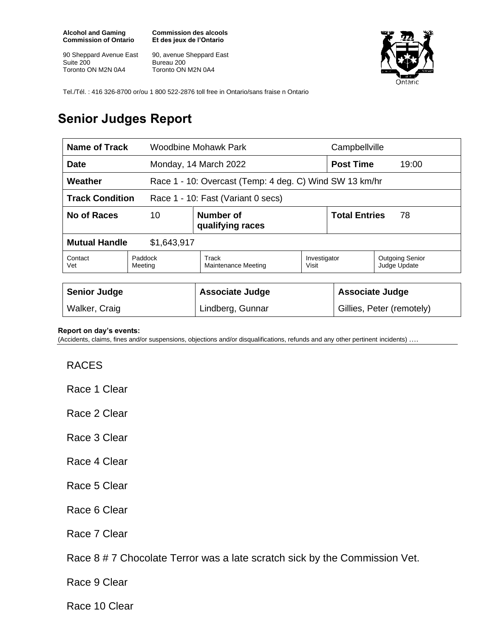**Alcohol and Gaming Commission of Ontario**

90 Sheppard Avenue East Suite 200 Toronto ON M2N 0A4

**Commission des alcools Et des jeux de l'Ontario**

90, avenue Sheppard East Bureau 200 Toronto ON M2N 0A4



Tel./Tél. : 416 326-8700 or/ou 1 800 522-2876 toll free in Ontario/sans fraise n Ontario

## **Senior Judges Report**

| Name of Track                                                      |                                            | Woodbine Mohawk Park         |                       | Campbellville              |                                        |
|--------------------------------------------------------------------|--------------------------------------------|------------------------------|-----------------------|----------------------------|----------------------------------------|
| <b>Date</b>                                                        |                                            | Monday, 14 March 2022        |                       | <b>Post Time</b><br>19:00  |                                        |
| Weather<br>Race 1 - 10: Overcast (Temp: 4 deg. C) Wind SW 13 km/hr |                                            |                              |                       |                            |                                        |
| <b>Track Condition</b><br>Race 1 - 10: Fast (Variant 0 secs)       |                                            |                              |                       |                            |                                        |
| No of Races                                                        | <b>Number of</b><br>10<br>qualifying races |                              |                       | <b>Total Entries</b><br>78 |                                        |
| <b>Mutual Handle</b><br>\$1,643,917                                |                                            |                              |                       |                            |                                        |
| Contact<br>Vet                                                     | Paddock<br>Meeting                         | Track<br>Maintenance Meeting | Investigator<br>Visit |                            | <b>Outgoing Senior</b><br>Judge Update |
|                                                                    |                                            |                              |                       |                            |                                        |
| <b>Senior Judge</b>                                                |                                            | <b>Associate Judge</b>       |                       | <b>Associate Judge</b>     |                                        |
| Walker, Craig                                                      |                                            | Lindberg, Gunnar             |                       | Gillies, Peter (remotely)  |                                        |

## **Report on day's events:**

(Accidents, claims, fines and/or suspensions, objections and/or disqualifications, refunds and any other pertinent incidents) ….

## RACES

Race 1 Clear

Race 2 Clear

- Race 3 Clear
- Race 4 Clear
- Race 5 Clear
- Race 6 Clear
- Race 7 Clear

Race 8 # 7 Chocolate Terror was a late scratch sick by the Commission Vet.

Race 9 Clear

Race 10 Clear